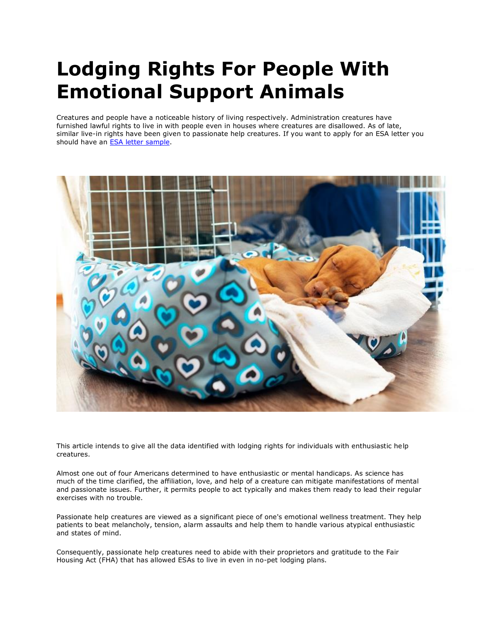# **Lodging Rights For People With Emotional Support Animals**

Creatures and people have a noticeable history of living respectively. Administration creatures have furnished lawful rights to live in with people even in houses where creatures are disallowed. As of late, similar live-in rights have been given to passionate help creatures. If you want to apply for an ESA letter you should have an **ESA** letter sample.



This article intends to give all the data identified with lodging rights for individuals with enthusiastic help creatures.

Almost one out of four Americans determined to have enthusiastic or mental handicaps. As science has much of the time clarified, the affiliation, love, and help of a creature can mitigate manifestations of mental and passionate issues. Further, it permits people to act typically and makes them ready to lead their regular exercises with no trouble.

Passionate help creatures are viewed as a significant piece of one's emotional wellness treatment. They help patients to beat melancholy, tension, alarm assaults and help them to handle various atypical enthusiastic and states of mind.

Consequently, passionate help creatures need to abide with their proprietors and gratitude to the Fair Housing Act (FHA) that has allowed ESAs to live in even in no-pet lodging plans.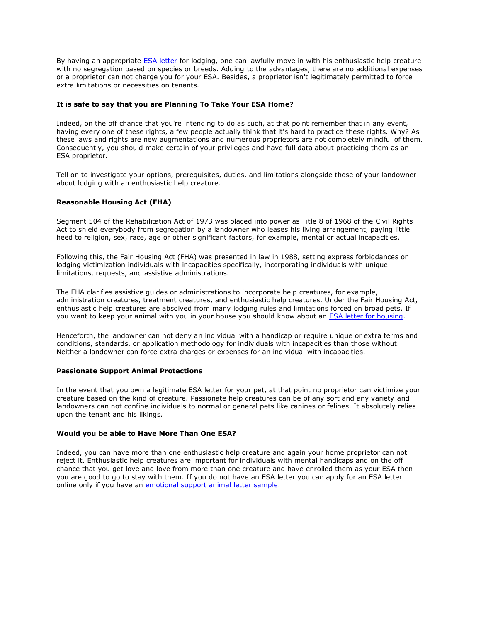By having an appropriate **[ESA letter](https://www.realesaletter.com/sample-esa-letter) for lodging, one can lawfully move in with his enthusiastic help creature** with no segregation based on species or breeds. Adding to the advantages, there are no additional expenses or a proprietor can not charge you for your ESA. Besides, a proprietor isn't legitimately permitted to force extra limitations or necessities on tenants.

## **It is safe to say that you are Planning To Take Your ESA Home?**

Indeed, on the off chance that you're intending to do as such, at that point remember that in any event, having every one of these rights, a few people actually think that it's hard to practice these rights. Why? As these laws and rights are new augmentations and numerous proprietors are not completely mindful of them. Consequently, you should make certain of your privileges and have full data about practicing them as an ESA proprietor.

Tell on to investigate your options, prerequisites, duties, and limitations alongside those of your landowner about lodging with an enthusiastic help creature.

## **Reasonable Housing Act (FHA)**

Segment 504 of the Rehabilitation Act of 1973 was placed into power as Title 8 of 1968 of the Civil Rights Act to shield everybody from segregation by a landowner who leases his living arrangement, paying little heed to religion, sex, race, age or other significant factors, for example, mental or actual incapacities.

Following this, the Fair Housing Act (FHA) was presented in law in 1988, setting express forbiddances on lodging victimization individuals with incapacities specifically, incorporating individuals with unique limitations, requests, and assistive administrations.

The FHA clarifies assistive guides or administrations to incorporate help creatures, for example, administration creatures, treatment creatures, and enthusiastic help creatures. Under the Fair Housing Act, enthusiastic help creatures are absolved from many lodging rules and limitations forced on broad pets. If you want to keep your animal with you in your house you should know about an [ESA letter for housing.](https://www.realesaletter.com/sample-esa-letter)

Henceforth, the landowner can not deny an individual with a handicap or require unique or extra terms and conditions, standards, or application methodology for individuals with incapacities than those without. Neither a landowner can force extra charges or expenses for an individual with incapacities.

#### **Passionate Support Animal Protections**

In the event that you own a legitimate ESA letter for your pet, at that point no proprietor can victimize your creature based on the kind of creature. Passionate help creatures can be of any sort and any variety and landowners can not confine individuals to normal or general pets like canines or felines. It absolutely relies upon the tenant and his likings.

#### **Would you be able to Have More Than One ESA?**

Indeed, you can have more than one enthusiastic help creature and again your home proprietor can not reject it. Enthusiastic help creatures are important for individuals with mental handicaps and on the off chance that you get love and love from more than one creature and have enrolled them as your ESA then you are good to go to stay with them. If you do not have an ESA letter you can apply for an ESA letter online only if you have an [emotional support animal letter sample.](https://www.realesaletter.com/sample-esa-letter)